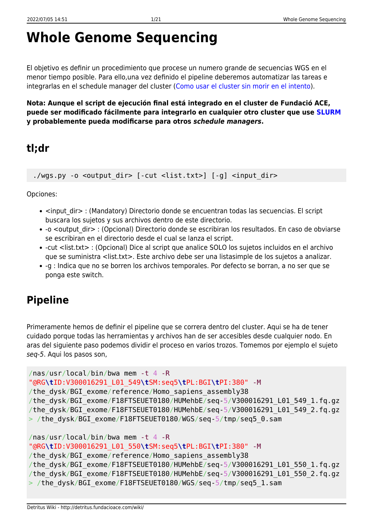# **Whole Genome Sequencing**

El objetivo es definir un procedimiento que procese un numero grande de secuencias WGS en el menor tiempo posible. Para ello,una vez definido el pipeline deberemos automatizar las tareas e integrarlas en el schedule manager del cluster ([Como usar el cluster sin morir en el intento\)](http://detritus.fundacioace.com/wiki/doku.php?id=cluster).

**Nota: Aunque el script de ejecución final está integrado en el cluster de Fundació ACE, puede ser modificado fácilmente para integrarlo en cualquier otro cluster que use [SLURM](https://slurm.schedmd.com/) y probablemente pueda modificarse para otros** *schedule managers***.**

## **tl;dr**

./wgs.py -o <output dir> [-cut <list.txt>] [-g] <input dir>

Opciones:

- <input dir> : (Mandatory) Directorio donde se encuentran todas las secuencias. El script buscara los sujetos y sus archivos dentro de este directorio.
- -o <output dir> : (Opcional) Directorio donde se escribiran los resultados. En caso de obviarse se escribiran en el directorio desde el cual se lanza el script.
- -cut <list.txt> : (Opcional) Dice al script que analice SOLO los sujetos incluidos en el archivo que se suministra <list.txt>. Este archivo debe ser una listasimple de los sujetos a analizar.
- -g : Indica que no se borren los archivos temporales. Por defecto se borran, a no ser que se ponga este switch.

# **Pipeline**

Primeramente hemos de definir el pipeline que se correra dentro del cluster. Aqui se ha de tener cuidado porque todas las herramientas y archivos han de ser accesibles desde cualquier nodo. En aras del siguiente paso podemos dividir el proceso en varios trozos. Tomemos por ejemplo el sujeto seq-5. Aqui los pasos son,

```
/nas/usr/local/bin/bwa mem -t 4 -R
"@RG\tID:V300016291_L01_549\tSM:seq5\tPL:BGI\tPI:380" -M
/the dysk/BGI exome/reference/Homo sapiens assembly38
/the_dysk/BGI_exome/F18FTSEUET0180/HUMehbE/seq-5/V300016291_L01_549_1.fq.gz
/the_dysk/BGI_exome/F18FTSEUET0180/HUMehbE/seq-5/V300016291_L01_549_2.fq.gz
> /the_dysk/BGI_exome/F18FTSEUET0180/WGS/seq-5/tmp/seq5_0.sam
/nas/usr/local/bin/bwa mem -t 4 -R
```

```
"@RG\tID:V300016291_L01_550\tSM:seq5\tPL:BGI\tPI:380" -M
/the dysk/BGI exome/reference/Homo sapiens assembly38
/the_dysk/BGI_exome/F18FTSEUET0180/HUMehbE/seq-5/V300016291_L01_550_1.fq.gz
/the_dysk/BGI_exome/F18FTSEUET0180/HUMehbE/seq-5/V300016291_L01_550_2.fq.gz
> /the_dysk/BGI_exome/F18FTSEUET0180/WGS/seq-5/tmp/seq5_1.sam
```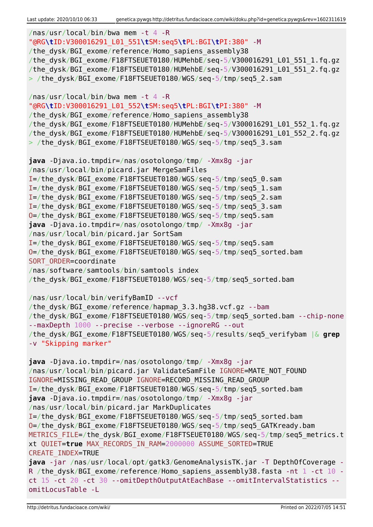```
/nas/usr/local/bin/bwa mem -t 4 -R
"@RG\tID:V300016291_L01_551\tSM:seq5\tPL:BGI\tPI:380" -M
/the dysk/BGI exome/reference/Homo sapiens assembly38
/the_dysk/BGI_exome/F18FTSEUET0180/HUMehbE/seq-5/V300016291_L01_551_1.fq.gz
/the_dysk/BGI_exome/F18FTSEUET0180/HUMehbE/seq-5/V300016291_L01_551_2.fq.gz
> /the dysk/BGI exome/F18FTSEUET0180/WGS/seq-5/tmp/seq5 2.sam
/nas/usr/local/bin/bwa mem -t 4 -R
"@RG\tID:V300016291_L01_552\tSM:seq5\tPL:BGI\tPI:380" -M
/the dysk/BGI exome/reference/Homo sapiens assembly38
/the_dysk/BGI_exome/F18FTSEUET0180/HUMehbE/seq-5/V300016291_L01_552_1.fq.gz
/the_dysk/BGI_exome/F18FTSEUET0180/HUMehbE/seq-5/V300016291_L01_552_2.fq.gz
> /the dysk/BGI exome/F18FTSEUET0180/WGS/seq-5/tmp/seq5 3.sam
java -Djava.io.tmpdir=/nas/osotolongo/tmp/ -Xmx8g -jar
/nas/usr/local/bin/picard.jar MergeSamFiles
I=/the_dysk/BGI_exome/F18FTSEUET0180/WGS/seq-5/tmp/seq5_0.sam
I=/the_dysk/BGI_exome/F18FTSEUET0180/WGS/seq-5/tmp/seq5_1.sam
I=/the_dysk/BGI_exome/F18FTSEUET0180/WGS/seq-5/tmp/seq5_2.sam
I=/the_dysk/BGI_exome/F18FTSEUET0180/WGS/seq-5/tmp/seq5_3.sam
O=/the_dysk/BGI_exome/F18FTSEUET0180/WGS/seq-5/tmp/seq5.sam
java -Djava.io.tmpdir=/nas/osotolongo/tmp/ -Xmx8g -jar
/nas/usr/local/bin/picard.jar SortSam
I=/the_dysk/BGI_exome/F18FTSEUET0180/WGS/seq-5/tmp/seq5.sam
O=/the_dysk/BGI_exome/F18FTSEUET0180/WGS/seq-5/tmp/seq5_sorted.bam
SORT ORDER=coordinate
/nas/software/samtools/bin/samtools index
/the_dysk/BGI_exome/F18FTSEUET0180/WGS/seq-5/tmp/seq5_sorted.bam
/nas/usr/local/bin/verifyBamID --vcf
/the dysk/BGI exome/reference/hapmap 3.3.hg38.vcf.gz --bam
/the_dysk/BGI_exome/F18FTSEUET0180/WGS/seq-5/tmp/seq5_sorted.bam --chip-none
--maxDepth 1000 --precise --verbose --ignoreRG --out
/the_dysk/BGI_exome/F18FTSEUET0180/WGS/seq-5/results/seq5_verifybam |& grep
-v "Skipping marker"
java -Djava.io.tmpdir=/nas/osotolongo/tmp/ -Xmx8g -jar
/nas/usr/local/bin/picard.jar ValidateSamFile IGNORE=MATE NOT FOUND
IGNORE=MISSING_READ_GROUP IGNORE=RECORD_MISSING_READ_GROUP
I=/the_dysk/BGI_exome/F18FTSEUET0180/WGS/seq-5/tmp/seq5_sorted.bam
java -Djava.io.tmpdir=/nas/osotolongo/tmp/ -Xmx8g -jar
/nas/usr/local/bin/picard.jar MarkDuplicates
I=/the_dysk/BGI_exome/F18FTSEUET0180/WGS/seq-5/tmp/seq5_sorted.bam
O=/the_dysk/BGI_exome/F18FTSEUET0180/WGS/seq-5/tmp/seq5_GATKready.bam
METRICS FILE=/the dysk/BGI exome/F18FTSEUET0180/WGS/seq-5/tmp/seq5 metrics.t
xt QUIET=true MAX_RECORDS_IN_RAM=2000000 ASSUME_SORTED=TRUE
CREATE_INDEX=TRUE
java -jar /nas/usr/local/opt/gatk3/GenomeAnalysisTK.jar -T DepthOfCoverage -
R /the dysk/BGI exome/reference/Homo sapiens assembly38.fasta -nt 1 -ct 10 -
ct 15 -ct 20 -ct 30 --omitDepthOutputAtEachBase --omitIntervalStatistics --
omitLocusTable -L
```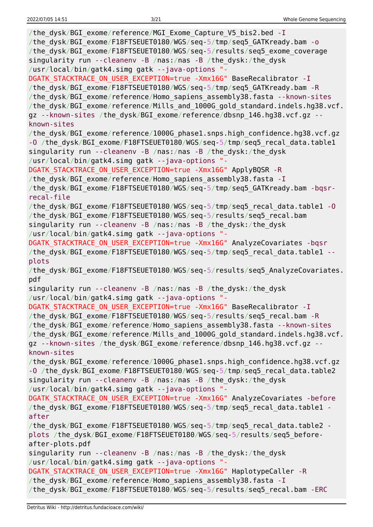| /the_dysk/BGI_exome/reference/MGI_Exome_Capture_V5_bis2.bed -I<br>/the_dysk/BGI_exome/F18FTSEUET0180/WGS/seq-5/tmp/seq5_GATKready.bam - o<br>/the_dysk/BGI_exome/F18FTSEUET0180/WGS/seq-5/results/seq5_exome_coverage |
|-----------------------------------------------------------------------------------------------------------------------------------------------------------------------------------------------------------------------|
| singularity run --cleanenv -B /nas:/nas -B /the_dysk:/the_dysk<br>/usr/local/bin/gatk4.simg gatk --java-options "-                                                                                                    |
| DGATK_STACKTRACE_ON_USER_EXCEPTION=true -Xmx16G" BaseRecalibrator - I                                                                                                                                                 |
| /the_dysk/BGI_exome/F18FTSEUET0180/WGS/seq-5/tmp/seq5_GATKready.bam -R<br>/the_dysk/BGI_exome/reference/Homo_sapiens_assembly38.fasta --known-sites                                                                   |
| /the_dysk/BGI_exome/reference/Mills_and_1000G_gold_standard.indels.hg38.vcf.<br>gz --known-sites /the_dysk/BGI_exome/reference/dbsnp_146.hg38.vcf.gz --                                                               |
| known-sites<br>/the_dysk/BGI_exome/reference/1000G_phase1.snps.high_confidence.hg38.vcf.gz                                                                                                                            |
| -0 /the_dysk/BGI_exome/F18FTSEUET0180/WGS/seq-5/tmp/seq5_recal_data.table1<br>singularity run --cleanenv -B /nas:/nas -B /the_dysk:/the_dysk                                                                          |
| /usr/local/bin/gatk4.simg gatk --java-options "-                                                                                                                                                                      |
| DGATK_STACKTRACE_ON_USER_EXCEPTION=true -Xmx16G" ApplyBQSR -R                                                                                                                                                         |
| /the dysk/BGI exome/reference/Homo sapiens assembly38.fasta - I                                                                                                                                                       |
| /the_dysk/BGI_exome/F18FTSEUET0180/WGS/seq-5/tmp/seq5_GATKready.bam -bqsr-<br>recal-file                                                                                                                              |
| /the_dysk/BGI_exome/F18FTSEUET0180/WGS/seq-5/tmp/seq5_recal_data.table1 -0                                                                                                                                            |
| /the_dysk/BGI_exome/F18FTSEUET0180/WGS/seq-5/results/seq5_recal.bam                                                                                                                                                   |
| singularity run --cleanenv -B /nas:/nas -B /the_dysk:/the_dysk                                                                                                                                                        |
| /usr/local/bin/gatk4.simg gatk --java-options "-                                                                                                                                                                      |
| DGATK_STACKTRACE_ON_USER_EXCEPTION=true -Xmx16G" AnalyzeCovariates -bqsr                                                                                                                                              |
| /the dysk/BGI exome/F18FTSEUET0180/WGS/seq-5/tmp/seq5 recal data.table1 --                                                                                                                                            |
| plots                                                                                                                                                                                                                 |
|                                                                                                                                                                                                                       |
| /the_dysk/BGI_exome/F18FTSEUET0180/WGS/seq-5/results/seq5_AnalyzeCovariates.<br>pdf                                                                                                                                   |
| singularity run --cleanenv -B /nas:/nas -B /the dysk:/the dysk                                                                                                                                                        |
| /usr/local/bin/gatk4.simg gatk --java-options "-                                                                                                                                                                      |
| DGATK_STACKTRACE_ON_USER_EXCEPTION=true -Xmx16G" BaseRecalibrator -I                                                                                                                                                  |
| /the dysk/BGI exome/F18FTSEUET0180/WGS/seq-5/results/seq5 recal.bam -R                                                                                                                                                |
| /the_dysk/BGI_exome/reference/Homo_sapiens_assembly38.fasta --known-sites                                                                                                                                             |
| /the dysk/BGI exome/reference/Mills and 1000G gold standard.indels.hg38.vcf.                                                                                                                                          |
| gz --known-sites /the dysk/BGI exome/reference/dbsnp 146.hg38.vcf.gz --                                                                                                                                               |
| known-sites                                                                                                                                                                                                           |
| /the_dysk/BGI_exome/reference/1000G_phase1.snps.high_confidence.hg38.vcf.gz<br>-0 /the_dysk/BGI_exome/F18FTSEUET0180/WGS/seq-5/tmp/seq5_recal_data.table2                                                             |
| singularity run --cleanenv -B /nas:/nas -B /the_dysk:/the_dysk                                                                                                                                                        |
| /usr/local/bin/gatk4.simg gatk --java-options "-                                                                                                                                                                      |
| DGATK STACKTRACE ON USER EXCEPTION=true -Xmx16G" AnalyzeCovariates -before                                                                                                                                            |
| /the_dysk/BGI_exome/F18FTSEUET0180/WGS/seq-5/tmp/seq5_recal_data.table1 -                                                                                                                                             |
| after                                                                                                                                                                                                                 |
| /the_dysk/BGI_exome/F18FTSEUET0180/WGS/seq-5/tmp/seq5_recal_data.table2 -                                                                                                                                             |
| plots /the_dysk/BGI_exome/F18FTSEUET0180/WGS/seq-5/results/seq5_before-                                                                                                                                               |
| after-plots.pdf                                                                                                                                                                                                       |
| singularity run --cleanenv -B /nas:/nas -B /the dysk:/the dysk                                                                                                                                                        |
| /usr/local/bin/gatk4.simg gatk --java-options "-                                                                                                                                                                      |
| DGATK STACKTRACE ON USER EXCEPTION=true -Xmx16G" HaplotypeCaller -R<br>/the dysk/BGI exome/reference/Homo sapiens assembly38.fasta - I                                                                                |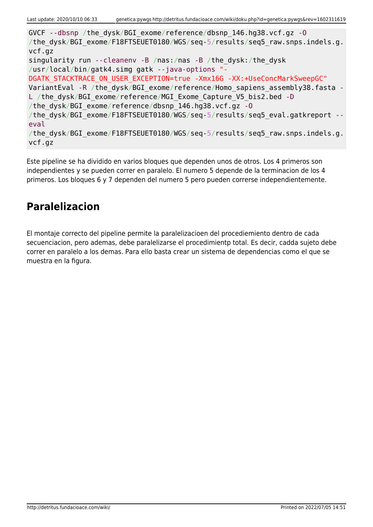GVCF --dbsnp /the\_dysk/BGI\_exome/reference/dbsnp\_146.hg38.vcf.gz -O /the dysk/BGI exome/F18FTSEUET0180/WGS/seq-5/results/seq5 raw.snps.indels.g. vcf.gz singularity run --cleanenv -B /nas:/nas -B /the\_dysk:/the\_dysk /usr/local/bin/gatk4.simg gatk --java-options "- DGATK STACKTRACE ON USER EXCEPTION=true -Xmx16G -XX:+UseConcMarkSweepGC" VariantEval -R /the dysk/BGI\_exome/reference/Homo\_sapiens\_assembly38.fasta -L /the dysk/BGI exome/reference/MGI Exome Capture V5 bis2.bed -D /the\_dysk/BGI\_exome/reference/dbsnp\_146.hg38.vcf.gz -O /the dysk/BGI exome/F18FTSEUET0180/WGS/seq-5/results/seq5 eval.gatkreport -eval /the dysk/BGI exome/F18FTSEUET0180/WGS/seq-5/results/seq5 raw.snps.indels.g. vcf.gz

Este pipeline se ha dividido en varios bloques que dependen unos de otros. Los 4 primeros son independientes y se pueden correr en paralelo. El numero 5 depende de la terminacion de los 4 primeros. Los bloques 6 y 7 dependen del numero 5 pero pueden correrse independientemente.

## **Paralelizacion**

El montaje correcto del pipeline permite la paralelizacioen del procediemiento dentro de cada secuenciacion, pero ademas, debe paralelizarse el procedimientp total. Es decir, cadda sujeto debe correr en paralelo a los demas. Para ello basta crear un sistema de dependencias como el que se muestra en la figura.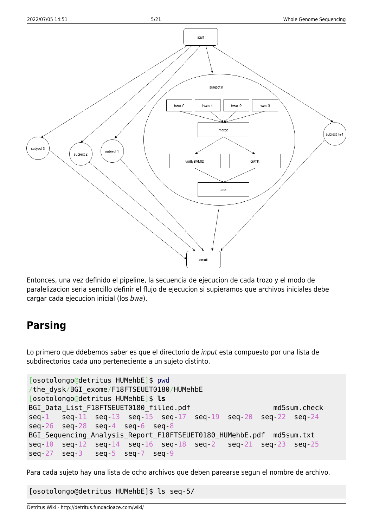

Entonces, una vez definido el pipeline, la secuencia de ejecucion de cada trozo y el modo de paralelizacion seria sencillo definir el flujo de ejecucion si supieramos que archivos iniciales debe cargar cada ejecucion inicial (los bwa).

### **Parsing**

Lo primero que ddebemos saber es que el directorio de input esta compuesto por una lista de subdirectorios cada uno perteneciente a un sujeto distinto.

```
[osotolongo@detritus HUMehbE]$ pwd
/the_dysk/BGI_exome/F18FTSEUET0180/HUMehbE
[osotolongo@detritus HUMehbE]$ ls
BGI Data List F18FTSEUET0180 filled.pdf md5sum.check
seq-1 seq-11 seq-13 seq-15 seq-17 seq-19 seq-20 seq-22 seq-24
seq-26 seq-28 seq-4 seq-6 seq-8
BGI Sequencing Analysis Report F18FTSEUET0180 HUMehbE.pdf md5sum.txt
seq-10 seq-12 seq-14 seq-16 seq-18 seq-2 seq-21 seq-23 seq-25
seq-27 seq-3 seq-5 seq-7 seq-9
```
Para cada sujeto hay una lista de ocho archivos que deben parearse segun el nombre de archivo.

[osotolongo@detritus HUMehbE]\$ ls seq-5/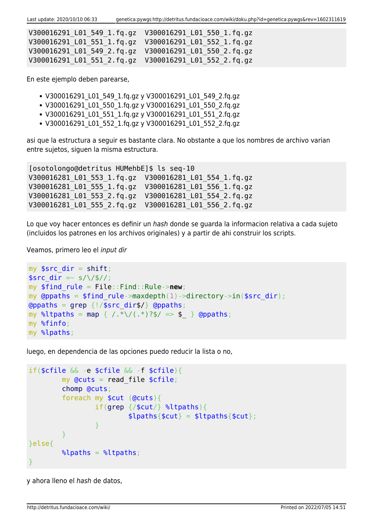| V300016291 L01 549 1.fg.gz  V300016291 L01 550 1.fg.gz |  |
|--------------------------------------------------------|--|
| V300016291 L01 551 1.fg.gz  V300016291 L01 552 1.fg.gz |  |
| V300016291 L01 549 2.fg.gz  V300016291 L01 550 2.fg.gz |  |
|                                                        |  |

En este ejemplo deben parearse,

- V300016291 L01 549 1.fq.gz y V300016291 L01 549 2.fq.gz
- V300016291\_L01\_550\_1.fq.gz y V300016291\_L01\_550\_2.fq.gz
- V300016291 L01 551 1.fq.gz y V300016291 L01 551 2.fq.gz
- V300016291 L01 552 1.fg.gz y V300016291 L01 552 2.fg.gz

asi que la estructura a seguir es bastante clara. No obstante a que los nombres de archivo varian entre sujetos, siguen la misma estructura.

[osotolongo@detritus HUMehbE]\$ ls seq-10 V300016281\_L01\_553\_1.fq.gz V300016281\_L01\_554\_1.fq.gz V300016281\_L01\_555\_1.fq.gz V300016281\_L01\_556\_1.fq.gz V300016281\_L01\_553\_2.fq.gz V300016281\_L01\_554\_2.fq.gz V300016281\_L01\_555\_2.fq.gz V300016281\_L01\_556\_2.fq.gz

Lo que voy hacer entonces es definir un hash donde se guarda la informacion relativa a cada sujeto (incluidos los patrones en los archivos originales) y a partir de ahi construir los scripts.

Veamos, primero leo el input dir

```
my sshift;
$src dir =~ s/\sqrt{\frac{4}{7}};
my $find_rule = File::Find::Rule->new;
my @ppaths = $find rule->maxdepth(1)->directory->in($src dir);
\alphagrep {!/$src dir$/} \alpha (appaths;
map { /.*\/(.*)?$/ => $ } @ppaths;
my %finfo;
my %lpaths;
```
luego, en dependencia de las opciones puedo reducir la lista o no,

```
if($cfile && -e $cfile && -f $cfile){
          my \thetacuts = read file $cfile; chomp @cuts;
            foreach my $cut (@cuts){
                     grep {\#cut} \ %ltpaths){
                                $lpaths{and the state of the state of the state of the state of the state of the state of the state of the state of the
 }
}else{
          % lpaths = %ltpaths;
}
```
y ahora lleno el hash de datos,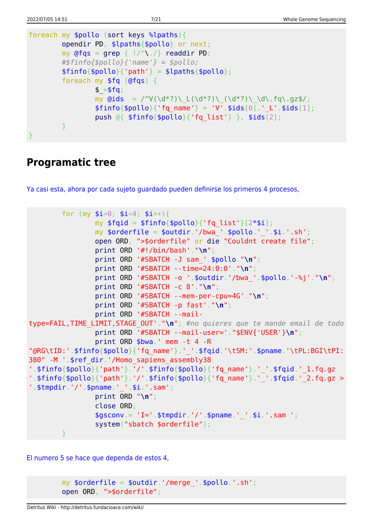```
foreach my $pollo (sort keys %lpaths){
          opendir PD, $lpaths{$pollo} or next;
         my grep {!/^^{\wedge} \cdot /}readdir PD;
          #$finfo{$pollo}{'name'} = $pollo;
         $finfo{$pollo}{'path'} = $lpaths{$pollo}; foreach my $fq (@fqs) {
                   $ = $fg;my Qids = \sqrt{\nu(\dagger)^2} \cdot L(\dagger)^3) (\dagger)^4; (\dagger)^3 (\dagger)^4; (\dagger)^4; \dagger$finfo{}$pollo{}' (fq name' } = 'V'.$ids[0].' L'.$ids[1];
                    push @{ $finfo{$pollo}{'fq_list'} }, $ids[2];
          }
}
```
### **Programatic tree**

[Ya casi esta, ahora por cada sujeto guardado pueden definirse los primeros 4 procesos,](#page--1-0)

```
for (my $i=0; $i<4; $i++){}my $fqid = $finfo{$pollo}{'rqa list'}[2*si];my \text{sonderfile} = \text{South}', \text{bwa}'. \text{spollo}.'.\text{si}'. sh';
                 open ORD, ">$orderfile" or die "Couldnt create file";
                 print ORD '#!/bin/bash'."\n";
                 print ORD '#SBATCH -J sam_'.$pollo."\n";
                 print ORD '#SBATCH --time=24:0:0'."\n";
                 print ORD '#SBATCH -o '.$outdir.'/bwa_'.$pollo.'-%j'."\n";
                 print ORD '#SBATCH -c 8'."\n";
                 print ORD '#SBATCH --mem-per-cpu=4G'."\n";
                 print ORD '#SBATCH -p fast'."\n";
                 print ORD '#SBATCH --mail-
type=FAIL,TIME_LIMIT,STAGE_OUT'."\n"; #no quieres que te mande email de todo
                 print ORD '#SBATCH --mail-user='."$ENV{'USER'}\n";
                 print ORD $bwa.' mem -t 4 -R
"@RG\tID:'.$finfo{$pollo}{'fq_name'}.'_'.$fqid.'\tSM:'.$pname.'\tPL:BGI\tPI:
380" -M '.$ref_dir.'/Homo_sapiens_assembly38
'.$finfo{$pollo}{'path'}.'/'.$finfo{$pollo}{'fq_name'}.'_'.$fqid.' 1.fq.gz
'.$finfo{$pollo}{'path'}.'/'.$finfo{$pollo}{'fq_name'}.'_'.$fqid.'_2.fq.gz >
'.$tmpdir.'/'.$pname.' '.$i.'.sam';
                 print ORD "\n";
                 close ORD;
                $gsconv = 'I='.$tmodir.'/'.$pname.''.sia'''.saa''; system("sbatch $orderfile");
 }
```
[El numero 5 se hace que dependa de estos 4,](#page--1-0)

```
my \text{sortederfile} = \text{solidir.}' / \text{merge}'.\text{spollo.}' . \text{sh'};
 open ORD, ">$orderfile";
```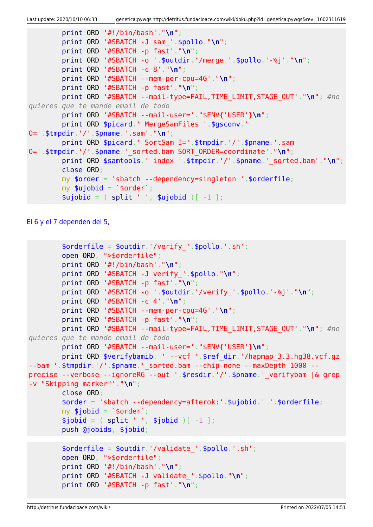```
 print ORD '#!/bin/bash'."\n";
         print ORD '#SBATCH -J sam_'.$pollo."\n";
         print ORD '#SBATCH -p fast'."\n";
         print ORD '#SBATCH -o '.$outdir.'/merge_'.$pollo.'-%j'."\n";
         print ORD '#SBATCH -c 8'."\n";
         print ORD '#SBATCH --mem-per-cpu=4G'."\n";
         print ORD '#SBATCH -p fast'."\n";
         print ORD '#SBATCH --mail-type=FAIL,TIME_LIMIT,STAGE_OUT'."\n"; #no
quieres que te mande email de todo
         print ORD '#SBATCH --mail-user='."$ENV{'USER'}\n";
         print ORD $picard.' MergeSamFiles '.$gsconv.'
O='.$tmpdir.'/'.$pname.'.sam'."\n";
         print ORD $picard.' SortSam I='.$tmpdir.'/'.$pname.'.sam
O='.$tmpdir.'/'.$pname.'_sorted.bam SORT_ORDER=coordinate'."\n";
        print ORD $samtools.' index '.$tmpdir.'/'.$pname.' sorted.bam'."\n";
         close ORD;
         my $order = 'sbatch --dependency=singleton '.$orderfile;
        my $ujobid = \sqrt{3}order\sqrt{3};
        split ' ', $ujobid )[-1 ];
```
[El 6 y el 7 dependen del 5,](#page--1-0)

```
$orderfile = $outdir.'/verify'.$pollo.'.sh'; open ORD, ">$orderfile";
         print ORD '#!/bin/bash'."\n";
         print ORD '#SBATCH -J verify_'.$pollo."\n";
         print ORD '#SBATCH -p fast'."\n";
         print ORD '#SBATCH -o '.$outdir.'/verify_'.$pollo.'-%j'."\n";
         print ORD '#SBATCH -c 4'."\n";
         print ORD '#SBATCH --mem-per-cpu=4G'."\n";
         print ORD '#SBATCH -p fast'."\n";
         print ORD '#SBATCH --mail-type=FAIL,TIME_LIMIT,STAGE_OUT'."\n"; #no
quieres que te mande email de todo
         print ORD '#SBATCH --mail-user='."$ENV{'USER'}\n";
         print ORD $verifybamib. ' --vcf '.$ref_dir.'/hapmap_3.3.hg38.vcf.gz
--bam '.$tmpdir.'/'.$pname.'_sorted.bam --chip-none --maxDepth 1000 --
precise --verbose --ignoreRG --out '.$resdir.'/'.$pname.'_verifybam |& grep
-v "Skipping marker"'."\n";
         close ORD;
         $order = 'sbatch --dependency=afterok:'.$ujobid.' '.$orderfile;
        my $jobid = `$order';split ' ', $jobid )[-1 ]; push @jobids, $jobid;
        \sqrt{3}orderfile = \sqrt{3}outdir.'/validate '.\sqrt{3}pollo.'.sh';
         open ORD, ">$orderfile";
         print ORD '#!/bin/bash'."\n";
         print ORD '#SBATCH -J validate_'.$pollo."\n";
         print ORD '#SBATCH -p fast'."\n";
```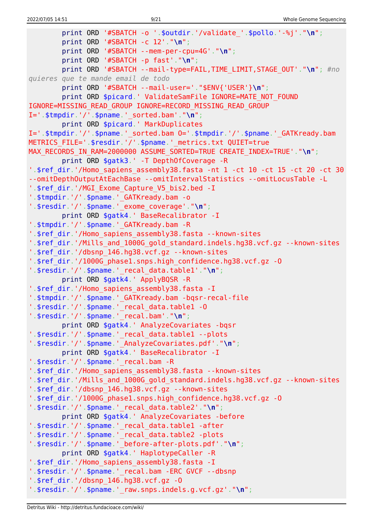```
 print ORD '#SBATCH -o '.$outdir.'/validate_'.$pollo.'-%j'."\n";
         print ORD '#SBATCH -c 12'."\n";
         print ORD '#SBATCH --mem-per-cpu=4G'."\n";
         print ORD '#SBATCH -p fast'."\n";
         print ORD '#SBATCH --mail-type=FAIL,TIME_LIMIT,STAGE_OUT'."\n"; #no
quieres que te mande email de todo
         print ORD '#SBATCH --mail-user='."$ENV{'USER'}\n";
        print ORD $picard.' ValidateSamFile IGNORE=MATE NOT FOUND
IGNORE=MISSING_READ_GROUP IGNORE=RECORD_MISSING_READ_GROUP
I='.$tmpdir.'/'.$pname.'_sorted.bam'."\n";
         print ORD $picard.' MarkDuplicates
I='.$tmpdir.'/'.$pname.' sorted.bam 0='.$tmpdir.'/'.$pname.' GATKready.bam
METRICS FILE='.$resdir.'/'.$pname.' metrics.txt QUIET=true
MAX RECORDS IN RAM=2000000 ASSUME SORTED=TRUE CREATE INDEX=TRUE'."\n";
         print ORD $gatk3.' -T DepthOfCoverage -R
'.$ref dir.'/Homo sapiens assembly38.fasta -nt 1 -ct 10 -ct 15 -ct 20 -ct 30
--omitDepthOutputAtEachBase --omitIntervalStatistics --omitLocusTable -L
'.$ref dir.'/MGI Exome Capture V5 bis2.bed -I
'.$tmpdir.'/'.$pname.' GATKready.bam -o
'.$resdir.'/'.$pname.'_exome_coverage'."\n";
         print ORD $gatk4.' BaseRecalibrator -I
'.$tmpdir.'/'.$pname.'_GATKready.bam -R
'.$ref dir.'/Homo sapiens assembly38.fasta --known-sites
'.$ref_dir.'/Mills_and_1000G_gold_standard.indels.hg38.vcf.gz --known-sites
'.$ref_dir.'/dbsnp_146.hg38.vcf.gz --known-sites
'.$ref_dir.'/1000G_phase1.snps.high_confidence.hg38.vcf.gz -O
'.$resdir.'/'.$pname.'_recal_data.table1'."\n";
         print ORD $gatk4.' ApplyBQSR -R
'.$ref_dir.'/Homo_sapiens_assembly38.fasta -I
'.$tmpdir.'/'.$pname.'_GATKready.bam -bqsr-recal-file
'.$resdir.'/'.$pname.'_recal_data.table1 -O
'.$resdir.'/'.$pname.'_recal.bam'."\n";
         print ORD $gatk4.' AnalyzeCovariates -bqsr
'.$resdir.'/'.$pname.'_recal_data.table1 --plots
'.$resdir.'/'.$pname.'_AnalyzeCovariates.pdf'."\n";
         print ORD $gatk4.' BaseRecalibrator -I
'.$resdir.'/'.$pname.'_recal.bam -R
'.$ref dir.'/Homo sapiens assembly38.fasta --known-sites
'.$ref_dir.'/Mills_and_1000G_gold_standard.indels.hg38.vcf.gz --known-sites
'.$ref_dir.'/dbsnp_146.hg38.vcf.gz --known-sites
'.$ref_dir.'/1000G_phase1.snps.high_confidence.hg38.vcf.gz -O
'.$resdir.'/'.$pname.'_recal_data.table2'."\n";
         print ORD $gatk4.' AnalyzeCovariates -before
'.$resdir.'/'.$pname.'_recal_data.table1 -after
'.$resdir.'/'.$pname.'_recal_data.table2 -plots
'.$resdir.'/'.$pname.'_before-after-plots.pdf'."\n";
         print ORD $gatk4.' HaplotypeCaller -R
'.$ref_dir.'/Homo_sapiens_assembly38.fasta -I
'.$resdir.'/'.$pname.' recal.bam -ERC GVCF --dbsnp
'.$ref_dir.'/dbsnp_146.hg38.vcf.gz -O
'.$resdir.'/'.$pname.'_raw.snps.indels.g.vcf.gz'."\n";
```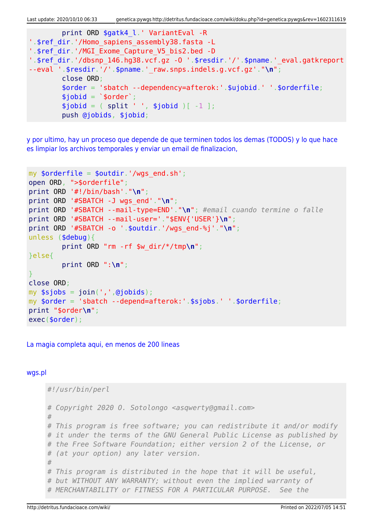Last update: 2020/10/10 06:33 genetica:pywgs http://detritus.fundacioace.com/wiki/doku.php?id=genetica:pywgs&rev=1602311619

```
 print ORD $gatk4_l.' VariantEval -R
'.$ref_dir.'/Homo_sapiens_assembly38.fasta -L
'.$ref_dir.'/MGI_Exome_Capture_V5_bis2.bed -D
'.$ref_dir.'/dbsnp_146.hg38.vcf.gz -0 '.$resdir.'/'.$pname.'_eval.gatkreport
--eval '.$resdir.'/'.$pname.'_raw.snps.indels.g.vcf.gz'."\n";
        close ORD;
        $order = 'sbatch --dependency=afterok:'.$ujobid.' '.$orderfile;
       $jobi = 'sorder';split ' ', $jobid )[-1 ]; push @jobids, $jobid;
```
[y por ultimo, hay un proceso que depende de que terminen todos los demas \(TODOS\) y lo que hace](#page--1-0) [es limpiar los archivos temporales y enviar un email de finalizacion,](#page--1-0)

```
my \text{sortederfile} = \text{south}', '/wgs end.sh';
open ORD, ">$orderfile";
print ORD '#!/bin/bash'."\n";
print ORD '#SBATCH -J wgs_end'."\n";
print ORD '#SBATCH --mail-type=END'."\n"; #email cuando termine o falle
print ORD '#SBATCH --mail-user='."$ENV{'USER'}\n";
print ORD '#SBATCH -o '.$outdir.'/wgs_end-%j'."\n";
unless ($debug){
         print ORD "rm -rf $w_dir/*/tmp\n";
}else{
         print ORD ":\n";
}
close ORD;
my join(',' ,@jobids);my $order = 'sbatch --depend=afterok:'.$sjobs.' '.$orderfile;
print "$order\n";
exec($order);
```
[La magia completa aqui, en menos de 200 lineas](#page--1-0)

#### [wgs.pl](http://detritus.fundacioace.com/wiki/doku.php?do=export_code&id=genetica:pywgs&codeblock=13)

```
#!/usr/bin/perl
# Copyright 2020 O. Sotolongo <asqwerty@gmail.com>
#
# This program is free software; you can redistribute it and/or modify
# it under the terms of the GNU General Public License as published by
# the Free Software Foundation; either version 2 of the License, or
# (at your option) any later version.
#
# This program is distributed in the hope that it will be useful,
# but WITHOUT ANY WARRANTY; without even the implied warranty of
# MERCHANTABILITY or FITNESS FOR A PARTICULAR PURPOSE. See the
```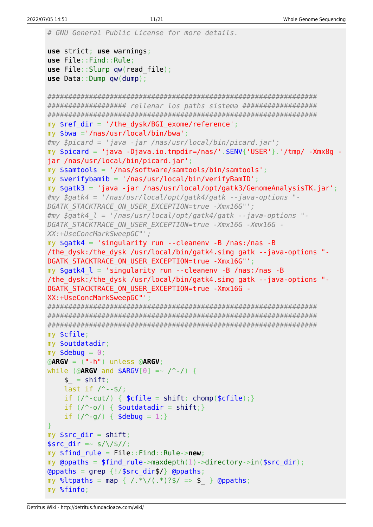```
# GNU General Public License for more details.
use strict; use warnings;
use File::Find::Rule;
use File::Slurp qw(read_file);
use Data::Dump qw(dump);
#################################################################
################### rellenar los paths sistema ##################
#################################################################
my $ref dir = '/the dysk/BGI exome/reference';
my $bwa ='/nas/usr/local/bin/bwa';
#my $picard = 'java -jar /nas/usr/local/bin/picard.jar';
my spicard = 'java -Djava.io.tmpdir=}/nas/'.$ENV{''USER'}'.'tmp/ -Xmx8q -jar /nas/usr/local/bin/picard.jar';
my $samtools = '/nas/software/samtools/bin/samtools';
my $verifybamib = '/nas/usr/local/bin/verifyBamID';
my $gatk3 = 'java -jar /nas/usr/local/opt/gatk3/GenomeAnalysisTK.jar';
#my $gatk4 = '/nas/usr/local/opt/gatk4/gatk --java-options "-
DGATK_STACKTRACE_ON_USER_EXCEPTION=true -Xmx16G"';
#my $gatk4_l = '/nas/usr/local/opt/gatk4/gatk --java-options "-
DGATK_STACKTRACE_ON_USER_EXCEPTION=true -Xmx16G -Xmx16G -
XX:+UseConcMarkSweepGC"';
my $gatk4 = 'singularity run --cleanenv -B /nas:/nas -B
/the_dysk:/the_dysk /usr/local/bin/gatk4.simg gatk --java-options "-
DGATK STACKTRACE ON USER EXCEPTION=true -Xmx16G"';
my $gatk4_l = 'singularity run --cleanenv -B /nas:/nas -B
/the dysk:/the dysk /usr/local/bin/gatk4.simg gatk --java-options "-
DGATK STACKTRACE ON USER EXCEPTION=true -Xmx16G -
XX:+UseConcMarkSweepGC"';
#################################################################
#################################################################
#################################################################
my $cfile;
my $outdatadir;
my $debug = \theta;
@ARGV = ("-h") unless @ARGV;
while (@ARGV and $ARGV[0] =~ /^-/) {
    $shift;
    last if / --$/;
    if \left(\frac{\triangle}{\triangle} \text{cut}\right) { shift}chomp(\text{fcfile}); }
    if (\wedge \neg \circ \wedge)shift; }
    if (\frac{9}{9}) \{ \text{stebug} = 1; \}}
myshift;
ssrc dir =~ s/\/$//;
my $find_rule = File::Find::Rule->new;
my @ppaths = $find rule->maxdepth(1)->directory->in(%src dir);\alphagrep {!/$src dir$/} @ppaths;
map { /.*\/(.*)?$/ => $_ } @ppaths;
my %finfo;
```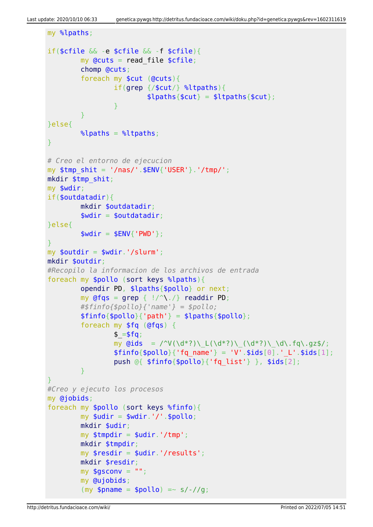```
my %lpaths;
if($cfile && -e $cfile && -f $cfile){
          my Qcuts = read file $cfile; chomp @cuts;
           foreach my $cut (@cuts){
                     if(grep {/$cut/} %ltpaths){
                              $lpaths{$cut} = $ltpaths{$cut};
and the state of the state of the state of the state of the state of the state of the state of the state of the
 }
}else{
         \text{k}_{\text{label}} = \text{k}_{\text{label}}}
# Creo el entorno de ejecucion
my stmp shit = '/nas/'.$ENV{'USER'}.'/tmp/';
mkdir $tmp_shit;
my $wdir;
if($outdatadir){
           mkdir $outdatadir;
          $width = $outdatadir;}else{
          $width = $ENV{ 'PWD' };}
my $outdir = $wdir.'/slurm';
mkdir $outdir;
#Recopilo la informacion de los archivos de entrada
foreach my $pollo (sort keys %lpaths){
           opendir PD, $lpaths{$pollo} or next;
          my @fqs = qrep { |}/^{\wedge}. >}readdir PD;
           #$finfo{$pollo}{'name'} = $pollo;
          $finfo{$pollo}{'parh'} = $lpaths{$pollo}; foreach my $fq (@fqs) {
                    $ = $fg;my \ddot{\text{Gids}} = \frac{\text{V}(\ddot{\text{d}}^*)\left(\frac{d^*}{\text{d}}\right)\left(\frac{d^*}{\text{d}}\right)\left(\frac{d^*}{\text{d}}\right)}{\text{d}^*}$finfo{}{$pollo}{'fq_name'} = 'V'.$ids[0].' L'.$ids[1];
                     push @{ $finfo{$pollo}{'fq_list'} }, $ids[2];
           }
}
#Creo y ejecuto los procesos
my @jobids;
foreach my $pollo (sort keys %finfo){
          my $udir = $wdir.'/'.$pollo;
           mkdir $udir;
          my $tmpdir = $udir.'/tmp';
           mkdir $tmpdir;
          my $resdir = $udir.'/results';
           mkdir $resdir;
          my $gsconv = " ";
           my @ujobids;
          (my $pname = $pollo) =~ s/-//g;
```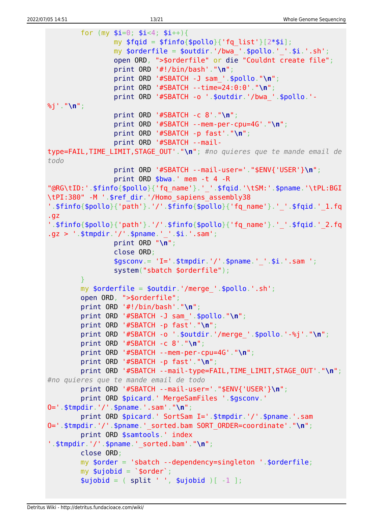```
for (mv \text{ si}=0; \text{ si} < 4; \text{ si}++)my $fqid = $finfo{$pollo}{'rq_list'}[2*$i];my \text{sonderfile} = \text{South}', \text{bwa}, \text{spollo}, \cdot, \text{si}, \cdot, \text{sh}';
                  open ORD, ">$orderfile" or die "Couldnt create file";
                  print ORD '#!/bin/bash'."\n";
                  print ORD '#SBATCH -J sam_'.$pollo."\n";
                  print ORD '#SBATCH --time=24:0:0'."\n";
                  print ORD '#SBATCH -o '.$outdir.'/bwa_'.$pollo.'-
%j'."\n";
                  print ORD '#SBATCH -c 8'."\n";
                  print ORD '#SBATCH --mem-per-cpu=4G'."\n";
                  print ORD '#SBATCH -p fast'."\n";
                  print ORD '#SBATCH --mail-
type=FAIL,TIME_LIMIT,STAGE_OUT'."\n"; #no quieres que te mande email de
todo
                  print ORD '#SBATCH --mail-user='."$ENV{'USER'}\n";
                  print ORD $bwa.' mem -t 4 -R
"@RG\tID:'.$finfo{$pollo}{'fq_name'}.'_'.$fqid.'\tSM:'.$pname.'\tPL:BGI
\tPI:380" -M '.$ref_dir.'/Homo_sapiens_assembly38
'.$finfo{$pollo}{'path'}.'/'.$finfo{$pollo}{'fq_name'}.'_'.$fqid.'_1.fq
.gz
'.$finfo{$pollo}{'path'}.'/'.$finfo{$pollo}{'fq_name'}.'_'.$fqid.'_2.fq
.gz > '.$tmpdir.'/'.$pname.'_'.$i.'.sam';
                  print ORD "\n";
                  close ORD;
                 $gsconv = 'I='.$tmpdir.'/'.$pname.' '.$i.'.sam ';
                  system("sbatch $orderfile");
 }
        my \text{sortederfile} = \text{south}.'/merge '.\text{spollo}.'.sh';
         open ORD, ">$orderfile";
         print ORD '#!/bin/bash'."\n";
         print ORD '#SBATCH -J sam_'.$pollo."\n";
         print ORD '#SBATCH -p fast'."\n";
         print ORD '#SBATCH -o '.$outdir.'/merge_'.$pollo.'-%j'."\n";
         print ORD '#SBATCH -c 8'."\n";
         print ORD '#SBATCH --mem-per-cpu=4G'."\n";
         print ORD '#SBATCH -p fast'."\n";
         print ORD '#SBATCH --mail-type=FAIL,TIME_LIMIT,STAGE_OUT'."\n";
#no quieres que te mande email de todo
         print ORD '#SBATCH --mail-user='."$ENV{'USER'}\n";
         print ORD $picard.' MergeSamFiles '.$gsconv.'
O='.$tmpdir.'/'.$pname.'.sam'."\n";
         print ORD $picard.' SortSam I='.$tmpdir.'/'.$pname.'.sam
O='.$tmpdir.'/'.$pname.'_sorted.bam SORT_ORDER=coordinate'."\n";
         print ORD $samtools.' index
'.$tmpdir.'/'.$pname.'_sorted.bam'."\n";
         close ORD;
         my $order = 'sbatch --dependency=singleton '.$orderfile;
        my \text{subject} = \text{`sorder'};
        split ' ', $ujobid )[-1 ];
```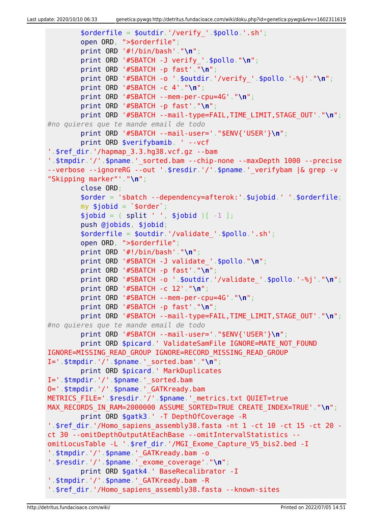```
 $orderfile = $outdir.'/verify_'.$pollo.'.sh';
         open ORD, ">$orderfile";
         print ORD '#!/bin/bash'."\n";
         print ORD '#SBATCH -J verify_'.$pollo."\n";
         print ORD '#SBATCH -p fast'."\n";
         print ORD '#SBATCH -o '.$outdir.'/verify_'.$pollo.'-%j'."\n";
         print ORD '#SBATCH -c 4'."\n";
         print ORD '#SBATCH --mem-per-cpu=4G'."\n";
         print ORD '#SBATCH -p fast'."\n";
         print ORD '#SBATCH --mail-type=FAIL,TIME_LIMIT,STAGE_OUT'."\n";
#no quieres que te mande email de todo
         print ORD '#SBATCH --mail-user='."$ENV{'USER'}\n";
         print ORD $verifybamib. ' --vcf
'.$ref_dir.'/hapmap_3.3.hg38.vcf.gz --bam
'.$tmpdir.'/'.$pname.' sorted.bam --chip-none --maxDepth 1000 --precise
--verbose --ignoreRG --out '.$resdir.'/'.$pname.' verifybam |& grep -v
"Skipping marker"'."\n";
         close ORD;
         $order = 'sbatch --dependency=afterok:'.$ujobid.' '.$orderfile;
        my $jobid = `$order`;
        split ' ', $jobid )[-1 ]; push @jobids, $jobid;
        $orderfile = $outdir.'/value''.$pollo.'.sh'; open ORD, ">$orderfile";
         print ORD '#!/bin/bash'."\n";
         print ORD '#SBATCH -J validate_'.$pollo."\n";
         print ORD '#SBATCH -p fast'."\n";
         print ORD '#SBATCH -o '.$outdir.'/validate_'.$pollo.'-%j'."\n";
         print ORD '#SBATCH -c 12'."\n";
         print ORD '#SBATCH --mem-per-cpu=4G'."\n";
         print ORD '#SBATCH -p fast'."\n";
         print ORD '#SBATCH --mail-type=FAIL,TIME_LIMIT,STAGE_OUT'."\n";
#no quieres que te mande email de todo
         print ORD '#SBATCH --mail-user='."$ENV{'USER'}\n";
        print ORD $picard.' ValidateSamFile IGNORE=MATE NOT FOUND
IGNORE=MISSING_READ_GROUP IGNORE=RECORD_MISSING_READ_GROUP
I='.$tmpdir.'/'.$pname.'_sorted.bam'."\n";
         print ORD $picard.' MarkDuplicates
I='.$tmpdir.'/'.$pname.' sorted.bam
O='.$tmpdir.'/'.$pname.'_GATKready.bam
METRICS FILE='.$resdir.'/'.$pname.' metrics.txt QUIET=true
MAX_RECORDS_IN_RAM=2000000 ASSUME_SORTED=TRUE CREATE_INDEX=TRUE'."\n";
         print ORD $gatk3.' -T DepthOfCoverage -R
'.$ref_dir.'/Homo_sapiens_assembly38.fasta -nt 1 -ct 10 -ct 15 -ct 20 -
ct 30 --omitDepthOutputAtEachBase --omitIntervalStatistics --
omitLocusTable -L '.$ref_dir.'/MGI_Exome_Capture_V5_bis2.bed -I
'.$tmpdir.'/'.$pname.'_GATKready.bam -o
'.$resdir.'/'.$pname.'_exome_coverage'."\n";
         print ORD $gatk4.' BaseRecalibrator -I
'.$tmpdir.'/'.$pname.' GATKready.bam -R
'.$ref dir.'/Homo sapiens assembly38.fasta --known-sites
```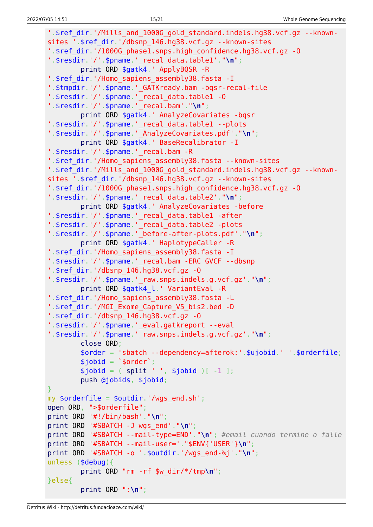```
'.$ref_dir.'/Mills_and_1000G_gold_standard.indels.hg38.vcf.gz --known-
sites '.$ref_dir.'/dbsnp_146.hg38.vcf.gz --known-sites
'.$ref_dir.'/1000G_phase1.snps.high_confidence.hg38.vcf.gz -O
'.$resdir.'/'.$pname.'_recal_data.table1'."\n";
         print ORD $gatk4.' ApplyBQSR -R
'.$ref_dir.'/Homo_sapiens_assembly38.fasta -I
'.$tmpdir.'/'.$pname.'_GATKready.bam -bqsr-recal-file
'.$resdir.'/'.$pname.'_recal_data.table1 -O
'.$resdir.'/'.$pname.'_recal.bam'."\n";
         print ORD $gatk4.' AnalyzeCovariates -bqsr
'.$resdir.'/'.$pname.'_recal_data.table1 --plots
'.$resdir.'/'.$pname.'_AnalyzeCovariates.pdf'."\n";
         print ORD $gatk4.' BaseRecalibrator -I
'.$resdir.'/'.$pname.' recal.bam -R
'.$ref dir.'/Homo sapiens assembly38.fasta --known-sites
'.$ref_dir.'/Mills_and_1000G_gold_standard.indels.hg38.vcf.gz --known-
sites '.$ref_dir.'/dbsnp_146.hg38.vcf.gz --known-sites
'.$ref_dir.'/1000G_phase1.snps.high_confidence.hg38.vcf.gz -O
'.$resdir.'/'.$pname.'_recal_data.table2'."\n";
         print ORD $gatk4.' AnalyzeCovariates -before
'.$resdir.'/'.$pname.'_recal_data.table1 -after
'.$resdir.'/'.$pname.'_recal_data.table2 -plots
'.$resdir.'/'.$pname.'_before-after-plots.pdf'."\n";
         print ORD $gatk4.' HaplotypeCaller -R
'.$ref_dir.'/Homo_sapiens_assembly38.fasta -I
'.$resdir.'/'.$pname.' recal.bam -ERC GVCF --dbsnp
'.$ref_dir.'/dbsnp_146.hg38.vcf.gz -O
'.$resdir.'/'.$pname.'_raw.snps.indels.g.vcf.gz'."\n";
         print ORD $gatk4_l.' VariantEval -R
'.$ref_dir.'/Homo_sapiens_assembly38.fasta -L
'.$ref dir.'/MGI Exome Capture V5 bis2.bed -D
'.$ref_dir.'/dbsnp_146.hg38.vcf.gz -O
'.$resdir.'/'.$pname.'_eval.gatkreport --eval
'.$resdir.'/'.$pname.'_raw.snps.indels.g.vcf.gz'."\n";
         close ORD;
         $order = 'sbatch --dependency=afterok:'.$ujobid.' '.$orderfile;
        $jobid = '$order';split ' ', $jobid )[-1 ]; push @jobids, $jobid;
}
my \text{sortederfile} = \text{south}', '/wgs end.sh';
open ORD, ">$orderfile";
print ORD '#!/bin/bash'."\n";
print ORD '#SBATCH -J wgs_end'."\n";
print ORD '#SBATCH --mail-type=END'."\n"; #email cuando termine o falle
print ORD '#SBATCH --mail-user='."$ENV{'USER'}\n";
print ORD '#SBATCH -o '.$outdir.'/wgs_end-%j'."\n";
unless ($debug){
         print ORD "rm -rf $w_dir/*/tmp\n";
}else{
         print ORD ":\n";
```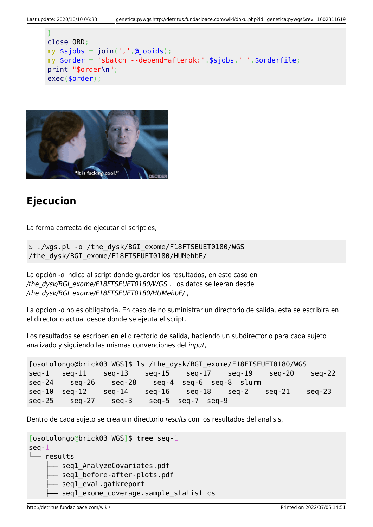```
}
close ORD;
my join(','',ajobids);my $order = 'sbatch --depend=afterok:'.$sjobs.' '.$orderfile;
print "$order\n";
exec($order);
```


# **Ejecucion**

La forma correcta de ejecutar el script es,

\$ ./wgs.pl -o /the\_dysk/BGI\_exome/F18FTSEUET0180/WGS /the\_dysk/BGI\_exome/F18FTSEUET0180/HUMehbE/

La opción -o indica al script donde guardar los resultados, en este caso en /the\_dysk/BGI\_exome/F18FTSEUET0180/WGS . Los datos se leeran desde /the\_dysk/BGI\_exome/F18FTSEUET0180/HUMehbE/,

La opcion -o no es obligatoria. En caso de no suministrar un directorio de salida, esta se escribira en el directorio actual desde donde se ejeuta el script.

Los resultados se escriben en el directorio de salida, haciendo un subdirectorio para cada sujeto analizado y siguiendo las mismas convenciones del input,

```
[osotolongo@brick03 WGS]$ ls /the_dysk/BGI_exome/F18FTSEUET0180/WGS
seq-1 seq-11 seq-13 seq-15 seq-17 seq-19 seq-20 seq-22
seq-24 seq-26 seq-28 seq-4 seq-6 seq-8 slurm
seq-10 seq-12 seq-14 seq-16 seq-18 seq-2 seq-21 seq-23
seq-25 seq-27 seq-3 seq-5 seq-7 seq-9
```
Dentro de cada sujeto se crea u n directorio results con los resultados del analisis,

```
[osotolongo@brick03 WGS]$ tree seq-1
seq-1
└── results
      - seql AnalyzeCovariates.pdf
      - seql before-after-plots.pdf
       - seql eval.gatkreport
       seq1 exome coverage.sample statistics
```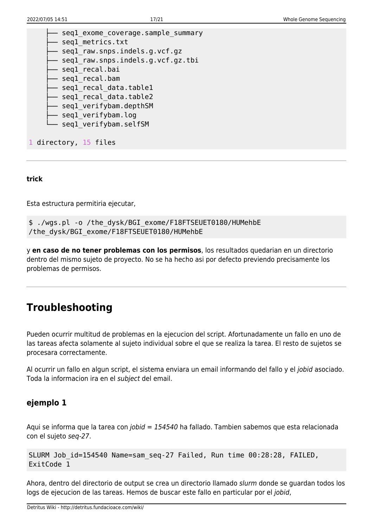| seql exome coverage.sample summary |
|------------------------------------|
| seql metrics.txt                   |
| seql raw.snps.indels.g.vcf.gz      |
| seql raw.snps.indels.g.vcf.gz.tbi  |
| seql recal.bai                     |
| seql recal.bam                     |
| seql recal data.tablel             |
| seql recal_data.table2             |
| seql verifybam.depthSM             |
| seql verifybam.log                 |
| seql verifybam.selfSM              |
|                                    |
| 1 directory, 15 files              |
|                                    |

#### **trick**

Esta estructura permitiria ejecutar,

```
$ ./wgs.pl -o /the_dysk/BGI_exome/F18FTSEUET0180/HUMehbE
/the_dysk/BGI_exome/F18FTSEUET0180/HUMehbE
```
y **en caso de no tener problemas con los permisos**, los resultados quedarian en un directorio dentro del mismo sujeto de proyecto. No se ha hecho asi por defecto previendo precisamente los problemas de permisos.

### **Troubleshooting**

Pueden ocurrir multitud de problemas en la ejecucion del script. Afortunadamente un fallo en uno de las tareas afecta solamente al sujeto individual sobre el que se realiza la tarea. El resto de sujetos se procesara correctamente.

Al ocurrir un fallo en algun script, el sistema enviara un email informando del fallo y el jobid asociado. Toda la informacion ira en el subject del email.

### **ejemplo 1**

Aqui se informa que la tarea con jobid = 154540 ha fallado. Tambien sabemos que esta relacionada con el sujeto seq-27.

```
SLURM Job id=154540 Name=sam seq-27 Failed, Run time 00:28:28, FAILED,
ExitCode 1
```
Ahora, dentro del directorio de output se crea un directorio llamado slurm donde se guardan todos los logs de ejecucion de las tareas. Hemos de buscar este fallo en particular por el jobid,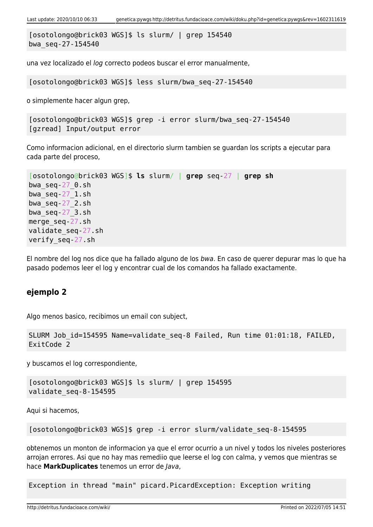```
[osotolongo@brick03 WGS]$ ls slurm/ | grep 154540
bwa_seq-27-154540
```
una vez localizado el log correcto podeos buscar el error manualmente,

[osotolongo@brick03 WGS]\$ less slurm/bwa\_seq-27-154540

o simplemente hacer algun grep,

```
[osotolongo@brick03 WGS]$ grep -i error slurm/bwa_seq-27-154540
[gzread] Input/output error
```
Como informacion adicional, en el directorio slurm tambien se guardan los scripts a ejecutar para cada parte del proceso,

```
[osotolongo@brick03 WGS]$ ls slurm/ | grep seq-27 | grep sh
bwa_seq-27_0.sh
bwaseq-27 1.sh
bwa_seq-27_2.sh
bwaseq-27 3.sh
merge_seq-27.sh
validate_seq-27.sh
verify_seq-27.sh
```
El nombre del log nos dice que ha fallado alguno de los bwa. En caso de querer depurar mas lo que ha pasado podemos leer el log y encontrar cual de los comandos ha fallado exactamente.

#### **ejemplo 2**

Algo menos basico, recibimos un email con subject,

```
SLURM Job id=154595 Name=validate seq-8 Failed, Run time 01:01:18, FAILED,
ExitCode 2
```
y buscamos el log correspondiente,

```
[osotolongo@brick03 WGS]$ ls slurm/ | grep 154595
validate_seq-8-154595
```
Aqui si hacemos,

[osotolongo@brick03 WGS]\$ grep -i error slurm/validate\_seq-8-154595

obtenemos un monton de informacion ya que el error ocurrio a un nivel y todos los niveles posteriores arrojan errores. Asi que no hay mas remediio que leerse el log con calma, y vemos que mientras se hace **MarkDuplicates** tenemos un error de Java,

Exception in thread "main" picard.PicardException: Exception writing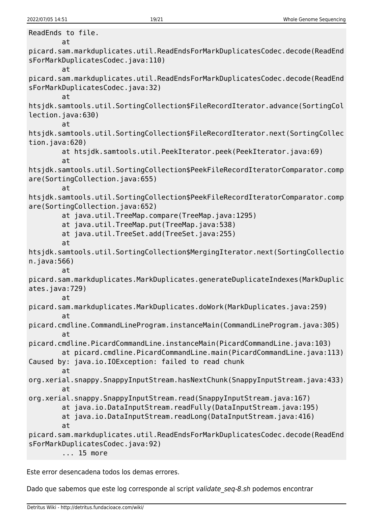ReadEnds to file. at picard.sam.markduplicates.util.ReadEndsForMarkDuplicatesCodec.decode(ReadEnd sForMarkDuplicatesCodec.java:110) at picard.sam.markduplicates.util.ReadEndsForMarkDuplicatesCodec.decode(ReadEnd sForMarkDuplicatesCodec.java:32) at htsjdk.samtools.util.SortingCollection\$FileRecordIterator.advance(SortingCol lection.java:630) at htsjdk.samtools.util.SortingCollection\$FileRecordIterator.next(SortingCollec tion.java:620) at htsjdk.samtools.util.PeekIterator.peek(PeekIterator.java:69) at htsjdk.samtools.util.SortingCollection\$PeekFileRecordIteratorComparator.comp are(SortingCollection.java:655) at htsjdk.samtools.util.SortingCollection\$PeekFileRecordIteratorComparator.comp are(SortingCollection.java:652) at java.util.TreeMap.compare(TreeMap.java:1295) at java.util.TreeMap.put(TreeMap.java:538) at java.util.TreeSet.add(TreeSet.java:255) at htsjdk.samtools.util.SortingCollection\$MergingIterator.next(SortingCollectio n.java:566) at picard.sam.markduplicates.MarkDuplicates.generateDuplicateIndexes(MarkDuplic ates.java:729) at picard.sam.markduplicates.MarkDuplicates.doWork(MarkDuplicates.java:259) at picard.cmdline.CommandLineProgram.instanceMain(CommandLineProgram.java:305) at picard.cmdline.PicardCommandLine.instanceMain(PicardCommandLine.java:103) at picard.cmdline.PicardCommandLine.main(PicardCommandLine.java:113) Caused by: java.io.IOException: failed to read chunk at org.xerial.snappy.SnappyInputStream.hasNextChunk(SnappyInputStream.java:433) at org.xerial.snappy.SnappyInputStream.read(SnappyInputStream.java:167) at java.io.DataInputStream.readFully(DataInputStream.java:195) at java.io.DataInputStream.readLong(DataInputStream.java:416) at picard.sam.markduplicates.util.ReadEndsForMarkDuplicatesCodec.decode(ReadEnd sForMarkDuplicatesCodec.java:92) ... 15 more

Este error desencadena todos los demas errores.

Dado que sabemos que este log corresponde al script validate seq-8.sh podemos encontrar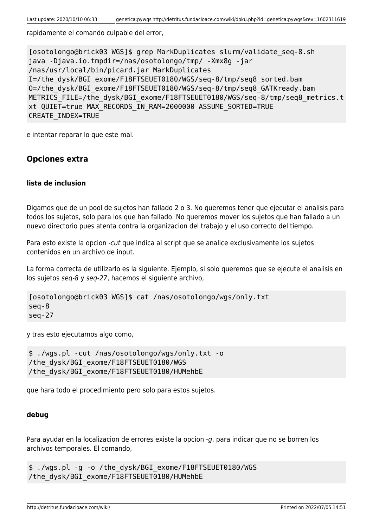rapidamente el comando culpable del error,

[osotolongo@brick03 WGS]\$ grep MarkDuplicates slurm/validate\_seq-8.sh java -Djava.io.tmpdir=/nas/osotolongo/tmp/ -Xmx8g -jar /nas/usr/local/bin/picard.jar MarkDuplicates I=/the\_dysk/BGI\_exome/F18FTSEUET0180/WGS/seq-8/tmp/seq8\_sorted.bam O=/the\_dysk/BGI\_exome/F18FTSEUET0180/WGS/seq-8/tmp/seq8\_GATKready.bam METRICS FILE=/the dysk/BGI exome/F18FTSEUET0180/WGS/seq-8/tmp/seq8 metrics.t xt QUIET=true MAX\_RECORDS\_IN\_RAM=2000000 ASSUME\_SORTED=TRUE CREATE\_INDEX=TRUE

e intentar reparar lo que este mal.

### **Opciones extra**

#### **lista de inclusion**

Digamos que de un pool de sujetos han fallado 2 o 3. No queremos tener que ejecutar el analisis para todos los sujetos, solo para los que han fallado. No queremos mover los sujetos que han fallado a un nuevo directorio pues atenta contra la organizacion del trabajo y el uso correcto del tiempo.

Para esto existe la opcion -cut que indica al script que se analice exclusivamente los sujetos contenidos en un archivo de input.

La forma correcta de utilizarlo es la siguiente. Ejemplo, si solo queremos que se ejecute el analisis en los sujetos seq-8 y seq-27, hacemos el siguiente archivo,

```
[osotolongo@brick03 WGS]$ cat /nas/osotolongo/wgs/only.txt
seq-8
seq-27
```
y tras esto ejecutamos algo como,

\$ ./wgs.pl -cut /nas/osotolongo/wgs/only.txt -o /the\_dysk/BGI\_exome/F18FTSEUET0180/WGS /the\_dysk/BGI\_exome/F18FTSEUET0180/HUMehbE

que hara todo el procedimiento pero solo para estos sujetos.

#### **debug**

Para ayudar en la localizacion de errores existe la opcion -g, para indicar que no se borren los archivos temporales. El comando,

\$ ./wgs.pl -g -o /the\_dysk/BGI\_exome/F18FTSEUET0180/WGS /the\_dysk/BGI\_exome/F18FTSEUET0180/HUMehbE